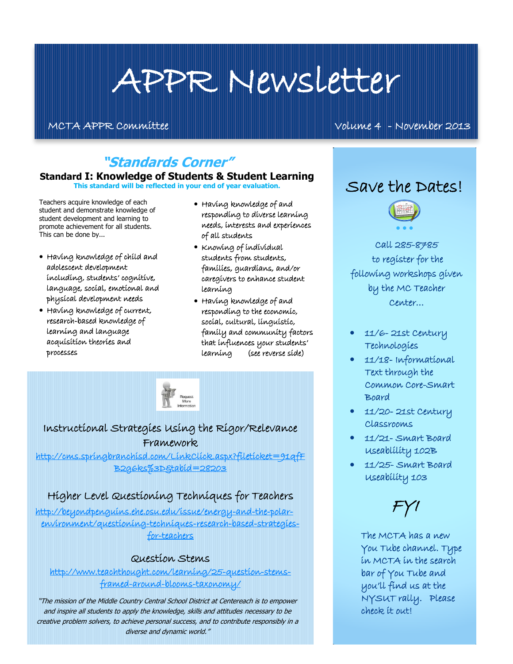# APPR Newsletter

MCTA APPR Committee Volume 4 - November 2013

## **"Standards Corner"**

#### **Standard I: Knowledge of Students & Student Learning**

**This standard will be reflected in your end of year evaluation.**

Teachers acquire knowledge of each student and demonstrate knowledge of student development and learning to promote achievement for all students. This can be done by...

- Having knowledge of child and adolescent development including, students' cognitive, language, social, emotional and physical development needs
- Having knowledge of current, research-based knowledge of learning and language acquisition theories and processes
- Having knowledge of and responding to diverse learning needs, interests and experiences of all students
- Knowing of individual students from students, families, guardians, and/or caregivers to enhance student learning
- Having knowledge of and responding to the economic, social, cultural, linguistic, family and community factors that influences your students' learning (see reverse side)



### Instructional Strategies Using the Rigor/Relevance Framework

[http://cms.springbranchisd.com/LinkClick.aspx?fileticket=91qfF](http://cms.springbranchisd.com/LinkClick.aspx?fileticket=91qfFB2g6ks%3D&tabid=28203) [B2g6ks%3D&tabid=28203](http://cms.springbranchisd.com/LinkClick.aspx?fileticket=91qfFB2g6ks%3D&tabid=28203) 

#### Higher Level Questioning Techniques for Teachers

[http://beyondpenguins.ehe.osu.edu/issue/energy-and-the-polar](http://beyondpenguins.ehe.osu.edu/issue/energy-and-the-polar-environment/questioning-techniques-research-based-strategies-for-teachers)[environment/questioning-techniques-research-based-strategies](http://beyondpenguins.ehe.osu.edu/issue/energy-and-the-polar-environment/questioning-techniques-research-based-strategies-for-teachers)[for-teachers](http://beyondpenguins.ehe.osu.edu/issue/energy-and-the-polar-environment/questioning-techniques-research-based-strategies-for-teachers) 

#### Question Stems

[http://www.teachthought.com/learning/25-question-stems](http://www.teachthought.com/learning/25-question-stems-framed-around-blooms-taxonomy/)[framed-around-blooms-taxonomy/](http://www.teachthought.com/learning/25-question-stems-framed-around-blooms-taxonomy/) 

"The mission of the Middle Country Central School District at Centereach is to empower and inspire all students to apply the knowledge, skills and attitudes necessary to be creative problem solvers, to achieve personal success, and to contribute responsibly in a diverse and dynamic world."

# Save the Dates!



l,

Call 285-8785 to register for the following workshops given by the MC Teacher Center…

- 11/6- 21st Century Technologies
- 11/18- Informational Text through the Common Core-Smart Board
- 11/20- 21st Century Classrooms
- 11/21- Smart Board Useablility 102B
- 11/25- Smart Board Useability 103



The MCTA has a new You Tube channel. Type in MCTA in the search bar of You Tube and you'll find us at the NYSUT rally. Please check it out!